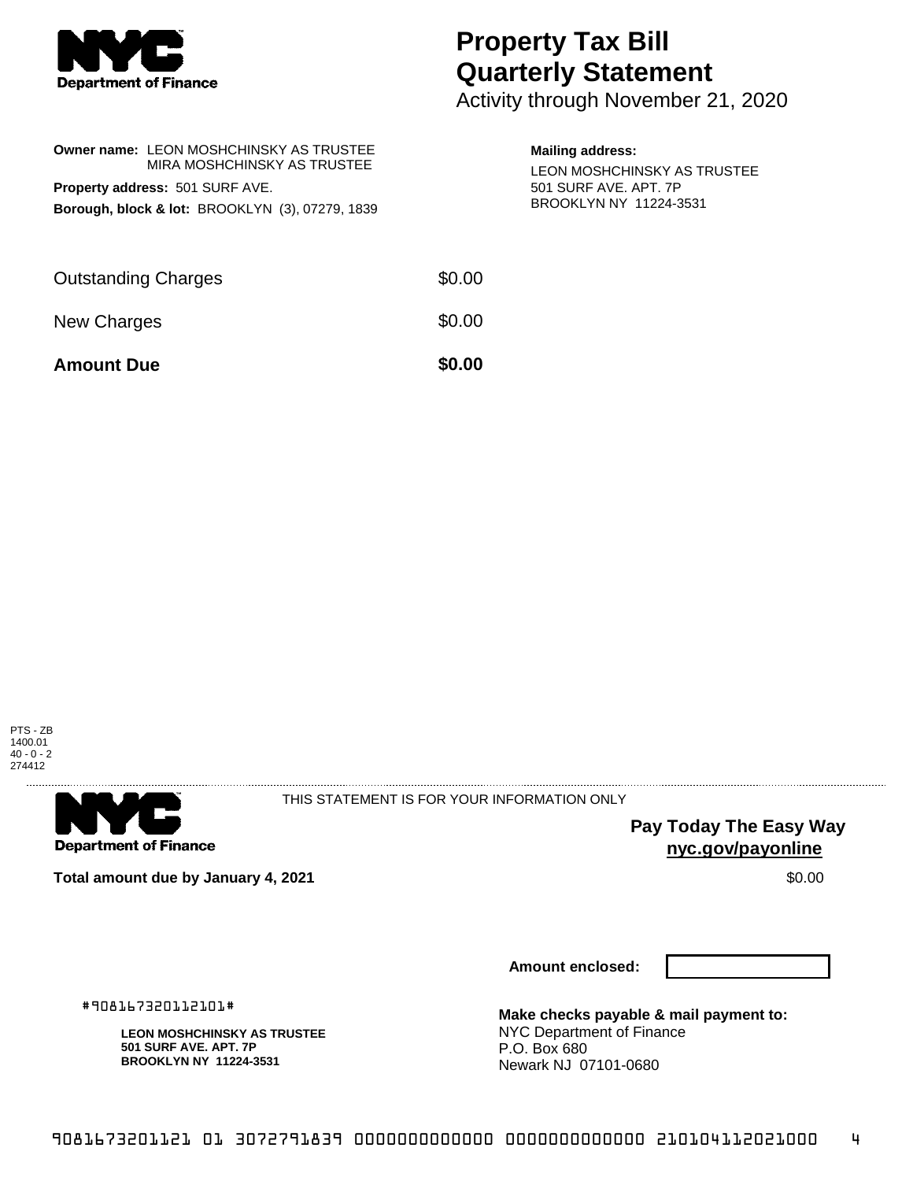

## **Property Tax Bill Quarterly Statement**

Activity through November 21, 2020

| Owner name: LEON MOSHCHINSKY AS TRUSTEE<br>MIRA MOSHCHINSKY AS TRUSTEE<br><b>Property address: 501 SURF AVE.</b><br>Borough, block & lot: BROOKLYN (3), 07279, 1839 |        | <b>Mailing address:</b><br>LEON MOSHCHINSKY AS TRUSTEE<br>501 SURF AVE, APT, 7P<br>BROOKLYN NY 11224-3531 |
|---------------------------------------------------------------------------------------------------------------------------------------------------------------------|--------|-----------------------------------------------------------------------------------------------------------|
| <b>Outstanding Charges</b>                                                                                                                                          | \$0.00 |                                                                                                           |
| <b>New Charges</b>                                                                                                                                                  | \$0.00 |                                                                                                           |
| <b>Amount Due</b>                                                                                                                                                   | \$0.00 |                                                                                                           |
|                                                                                                                                                                     |        |                                                                                                           |





THIS STATEMENT IS FOR YOUR INFORMATION ONLY

**Pay Today The Easy Way nyc.gov/payonline**

**Total amount due by January 4, 2021 \$0.00** \$0.00

**Amount enclosed:**

#908167320112101#

**LEON MOSHCHINSKY AS TRUSTEE 501 SURF AVE. APT. 7P BROOKLYN NY 11224-3531**

**Make checks payable & mail payment to:** NYC Department of Finance P.O. Box 680 Newark NJ 07101-0680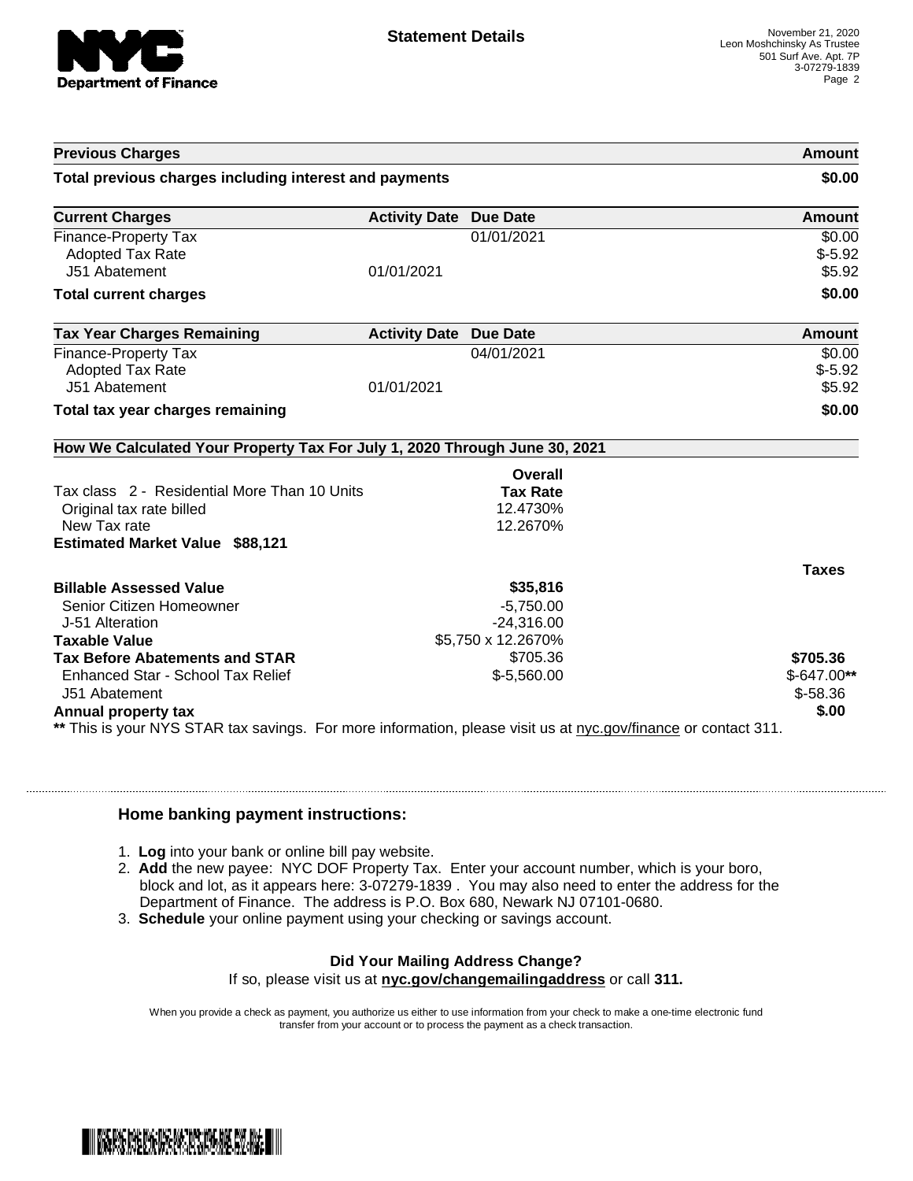

| <b>Previous Charges</b>                                                                                                               |                               |                    | Amount       |
|---------------------------------------------------------------------------------------------------------------------------------------|-------------------------------|--------------------|--------------|
| Total previous charges including interest and payments                                                                                |                               |                    | \$0.00       |
| <b>Current Charges</b>                                                                                                                | <b>Activity Date Due Date</b> |                    | Amount       |
| <b>Finance-Property Tax</b>                                                                                                           |                               | 01/01/2021         | \$0.00       |
| <b>Adopted Tax Rate</b>                                                                                                               |                               |                    | $$-5.92$     |
| J51 Abatement                                                                                                                         | 01/01/2021                    |                    | \$5.92       |
| <b>Total current charges</b>                                                                                                          |                               |                    | \$0.00       |
| <b>Tax Year Charges Remaining</b>                                                                                                     | <b>Activity Date Due Date</b> |                    | Amount       |
| <b>Finance-Property Tax</b>                                                                                                           |                               | 04/01/2021         | \$0.00       |
| <b>Adopted Tax Rate</b>                                                                                                               |                               |                    | $$-5.92$     |
| J51 Abatement                                                                                                                         | 01/01/2021                    |                    | \$5.92       |
| Total tax year charges remaining                                                                                                      |                               |                    | \$0.00       |
| How We Calculated Your Property Tax For July 1, 2020 Through June 30, 2021                                                            |                               |                    |              |
|                                                                                                                                       |                               | Overall            |              |
| Tax class 2 - Residential More Than 10 Units                                                                                          |                               | <b>Tax Rate</b>    |              |
| Original tax rate billed                                                                                                              |                               | 12.4730%           |              |
| New Tax rate                                                                                                                          |                               | 12.2670%           |              |
| <b>Estimated Market Value \$88,121</b>                                                                                                |                               |                    |              |
|                                                                                                                                       |                               |                    | <b>Taxes</b> |
| <b>Billable Assessed Value</b>                                                                                                        |                               | \$35,816           |              |
| Senior Citizen Homeowner                                                                                                              |                               | $-5,750.00$        |              |
| J-51 Alteration                                                                                                                       |                               | $-24,316.00$       |              |
| <b>Taxable Value</b>                                                                                                                  |                               | \$5,750 x 12.2670% |              |
| <b>Tax Before Abatements and STAR</b>                                                                                                 |                               | \$705.36           | \$705.36     |
| Enhanced Star - School Tax Relief                                                                                                     |                               | $$-5,560.00$       | $$-647.00**$ |
| J51 Abatement                                                                                                                         |                               |                    | $$-58.36$    |
| Annual property tax<br>** This is your NYS STAR tax savings. For more information, please visit us at nyc.gov/finance or contact 311. |                               |                    | \$.00        |

## **Home banking payment instructions:**

- 1. **Log** into your bank or online bill pay website.
- 2. **Add** the new payee: NYC DOF Property Tax. Enter your account number, which is your boro, block and lot, as it appears here: 3-07279-1839 . You may also need to enter the address for the Department of Finance. The address is P.O. Box 680, Newark NJ 07101-0680.
- 3. **Schedule** your online payment using your checking or savings account.

## **Did Your Mailing Address Change?**

If so, please visit us at **nyc.gov/changemailingaddress** or call **311.**

When you provide a check as payment, you authorize us either to use information from your check to make a one-time electronic fund transfer from your account or to process the payment as a check transaction.